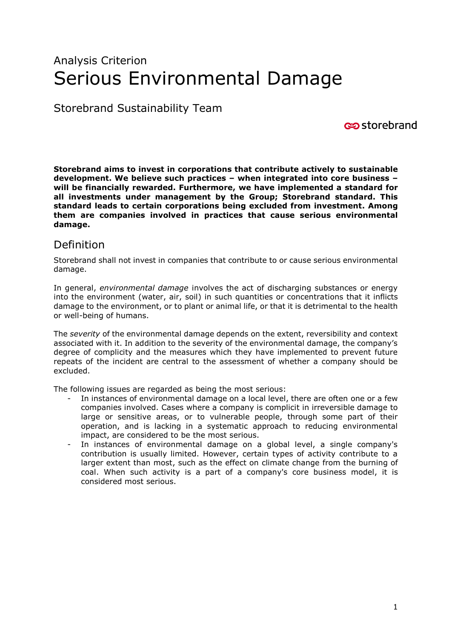# Analysis Criterion Serious Environmental Damage

Storebrand Sustainability Team

**c**ostorebrand

**Storebrand aims to invest in corporations that contribute actively to sustainable development. We believe such practices – when integrated into core business – will be financially rewarded. Furthermore, we have implemented a standard for all investments under management by the Group; Storebrand standard. This standard leads to certain corporations being excluded from investment. Among them are companies involved in practices that cause serious environmental damage.** 

# Definition

Storebrand shall not invest in companies that contribute to or cause serious environmental damage.

In general, *environmental damage* involves the act of discharging substances or energy into the environment (water, air, soil) in such quantities or concentrations that it inflicts damage to the environment, or to plant or animal life, or that it is detrimental to the health or well-being of humans.

The *severity* of the environmental damage depends on the extent, reversibility and context associated with it. In addition to the severity of the environmental damage, the company's degree of complicity and the measures which they have implemented to prevent future repeats of the incident are central to the assessment of whether a company should be excluded.

The following issues are regarded as being the most serious:

- In instances of environmental damage on a local level, there are often one or a few companies involved. Cases where a company is complicit in irreversible damage to large or sensitive areas, or to vulnerable people, through some part of their operation, and is lacking in a systematic approach to reducing environmental impact, are considered to be the most serious.
- In instances of environmental damage on a global level, a single company's contribution is usually limited. However, certain types of activity contribute to a larger extent than most, such as the effect on climate change from the burning of coal. When such activity is a part of a company's core business model, it is considered most serious.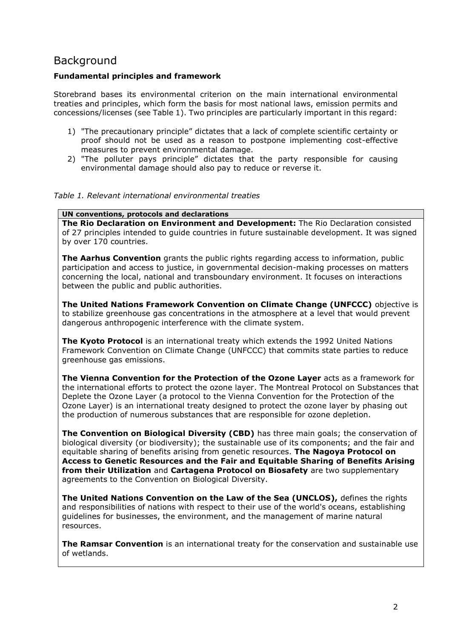## Background

#### **Fundamental principles and framework**

Storebrand bases its environmental criterion on the main international environmental treaties and principles, which form the basis for most national laws, emission permits and concessions/licenses (see Table 1). Two principles are particularly important in this regard:

- 1) "The precautionary principle" dictates that a lack of complete scientific certainty or proof should not be used as a reason to postpone implementing cost-effective measures to prevent environmental damage.
- 2) "The polluter pays principle" dictates that the party responsible for causing environmental damage should also pay to reduce or reverse it.

#### *Table 1. Relevant international environmental treaties*

#### **UN conventions, protocols and declarations**

**The Rio Declaration on Environment and Development:** The Rio Declaration consisted of 27 principles intended to guide countries in future sustainable development. It was signed by over 170 countries.

**The Aarhus Convention** grants the public rights regarding access to information, public participation and access to justice, in governmental decision-making processes on matters concerning the local, national and transboundary environment. It focuses on interactions between the public and public authorities.

**The United Nations Framework Convention on Climate Change (UNFCCC)** objective is to stabilize greenhouse gas concentrations in the atmosphere at a level that would prevent dangerous anthropogenic interference with the climate system.

**The Kyoto Protocol** is an international treaty which extends the 1992 United Nations Framework Convention on Climate Change (UNFCCC) that commits state parties to reduce greenhouse gas emissions.

**The Vienna Convention for the Protection of the Ozone Layer** acts as a framework for the international efforts to protect the ozone layer. The Montreal Protocol on Substances that Deplete the Ozone Layer (a protocol to the Vienna Convention for the Protection of the Ozone Layer) is an international treaty designed to protect the ozone layer by phasing out the production of numerous substances that are responsible for ozone depletion.

**The Convention on Biological Diversity (CBD)** has three main goals; the conservation of biological diversity (or biodiversity); the sustainable use of its components; and the fair and equitable sharing of benefits arising from genetic resources. **The Nagoya Protocol on Access to Genetic Resources and the Fair and Equitable Sharing of Benefits Arising from their Utilization** and **Cartagena Protocol on Biosafety** are two supplementary agreements to the Convention on Biological Diversity.

**The United Nations Convention on the Law of the Sea (UNCLOS),** defines the rights and responsibilities of nations with respect to their use of the world's oceans, establishing guidelines for businesses, the environment, and the management of marine natural resources.

**The Ramsar Convention** is an international treaty for the conservation and sustainable use of wetlands.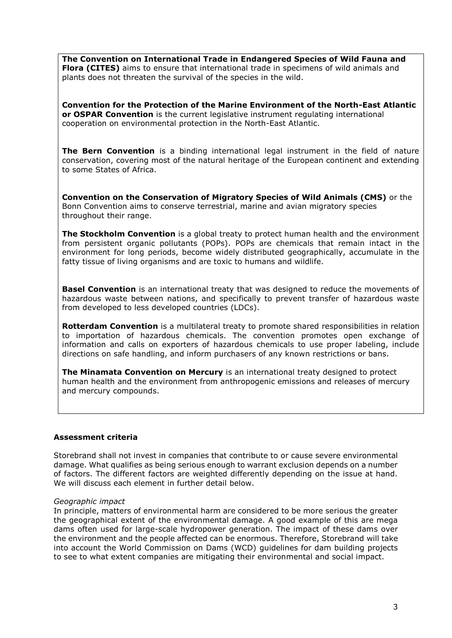**The Convention on International Trade in Endangered Species of Wild Fauna and Flora (CITES)** aims to ensure that international trade in specimens of wild animals and plants does not threaten the survival of the species in the wild.

**Convention for the Protection of the Marine Environment of the North-East Atlantic or OSPAR Convention** is the current legislative instrument regulating international cooperation on environmental protection in the North-East Atlantic.

**The Bern Convention** is a binding international legal instrument in the field of nature conservation, covering most of the natural heritage of the European continent and extending to some States of Africa.

**Convention on the Conservation of Migratory Species of Wild Animals (CMS)** or the Bonn Convention aims to conserve terrestrial, marine and avian migratory species throughout their range.

**The Stockholm Convention** is a global treaty to protect human health and the environment from persistent organic pollutants (POPs). POPs are chemicals that remain intact in the environment for long periods, become widely distributed geographically, accumulate in the fatty tissue of living organisms and are toxic to humans and wildlife.

**Basel Convention** is an international treaty that was designed to reduce the movements of hazardous waste between nations, and specifically to prevent transfer of hazardous waste from developed to less developed countries (LDCs).

**Rotterdam Convention** is a multilateral treaty to promote shared responsibilities in relation to importation of hazardous chemicals. The convention promotes open exchange of information and calls on exporters of hazardous chemicals to use proper labeling, include directions on safe handling, and inform purchasers of any known restrictions or bans.

**The Minamata Convention on Mercury** is an international treaty designed to protect human health and the environment from anthropogenic emissions and releases of mercury and mercury compounds.

#### **Assessment criteria**

Storebrand shall not invest in companies that contribute to or cause severe environmental damage. What qualifies as being serious enough to warrant exclusion depends on a number of factors. The different factors are weighted differently depending on the issue at hand. We will discuss each element in further detail below.

#### *Geographic impact*

In principle, matters of environmental harm are considered to be more serious the greater the geographical extent of the environmental damage. A good example of this are mega dams often used for large-scale hydropower generation. The impact of these dams over the environment and the people affected can be enormous. Therefore, Storebrand will take into account the World Commission on Dams (WCD) guidelines for dam building projects to see to what extent companies are mitigating their environmental and social impact.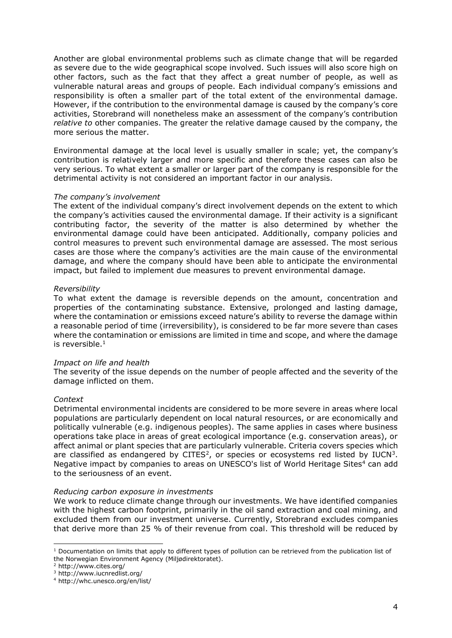Another are global environmental problems such as climate change that will be regarded as severe due to the wide geographical scope involved. Such issues will also score high on other factors, such as the fact that they affect a great number of people, as well as vulnerable natural areas and groups of people. Each individual company's emissions and responsibility is often a smaller part of the total extent of the environmental damage. However, if the contribution to the environmental damage is caused by the company's core activities, Storebrand will nonetheless make an assessment of the company's contribution *relative to* other companies. The greater the relative damage caused by the company, the more serious the matter.

Environmental damage at the local level is usually smaller in scale; yet, the company's contribution is relatively larger and more specific and therefore these cases can also be very serious. To what extent a smaller or larger part of the company is responsible for the detrimental activity is not considered an important factor in our analysis.

#### *The company's involvement*

The extent of the individual company's direct involvement depends on the extent to which the company's activities caused the environmental damage. If their activity is a significant contributing factor, the severity of the matter is also determined by whether the environmental damage could have been anticipated. Additionally, company policies and control measures to prevent such environmental damage are assessed. The most serious cases are those where the company's activities are the main cause of the environmental damage, and where the company should have been able to anticipate the environmental impact, but failed to implement due measures to prevent environmental damage.

#### *Reversibility*

To what extent the damage is reversible depends on the amount, concentration and properties of the contaminating substance. Extensive, prolonged and lasting damage, where the contamination or emissions exceed nature's ability to reverse the damage within a reasonable period of time (irreversibility), is considered to be far more severe than cases where the contamination or emissions are limited in time and scope, and where the damage is reversible. $1$ 

#### *Impact on life and health*

The severity of the issue depends on the number of people affected and the severity of the damage inflicted on them.

#### *Context*

Detrimental environmental incidents are considered to be more severe in areas where local populations are particularly dependent on local natural resources, or are economically and politically vulnerable (e.g. indigenous peoples). The same applies in cases where business operations take place in areas of great ecological importance (e.g. conservation areas), or affect animal or plant species that are particularly vulnerable. Criteria covers species which are classified as endangered by CITES<sup>2</sup>, or species or ecosystems red listed by IUCN<sup>3</sup>. Negative impact by companies to areas on UNESCO's list of World Heritage Sites<sup>4</sup> can add to the seriousness of an event.

#### *Reducing carbon exposure in investments*

We work to reduce climate change through our investments. We have identified companies with the highest carbon footprint, primarily in the oil sand extraction and coal mining, and excluded them from our investment universe. Currently, Storebrand excludes companies that derive more than 25 % of their revenue from coal. This threshold will be reduced by

l

 $1$  Documentation on limits that apply to different types of pollution can be retrieved from the publication list of the Norwegian Environment Agency (Miljødirektoratet).

<sup>&</sup>lt;sup>2</sup> http://www.cites.org/

<sup>3</sup> http://www.iucnredlist.org/

<sup>4</sup> http://whc.unesco.org/en/list/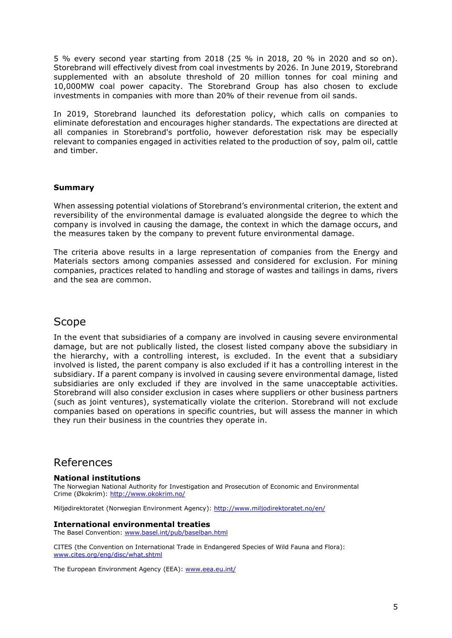5 % every second year starting from 2018 (25 % in 2018, 20 % in 2020 and so on). Storebrand will effectively divest from coal investments by 2026. In June 2019, Storebrand supplemented with an absolute threshold of 20 million tonnes for coal mining and 10,000MW coal power capacity. The Storebrand Group has also chosen to exclude investments in companies with more than 20% of their revenue from oil sands.

In 2019, Storebrand launched its deforestation policy, which calls on companies to eliminate deforestation and encourages higher standards. The expectations are directed at all companies in Storebrand's portfolio, however deforestation risk may be especially relevant to companies engaged in activities related to the production of soy, palm oil, cattle and timber.

#### **Summary**

When assessing potential violations of Storebrand's environmental criterion, the extent and reversibility of the environmental damage is evaluated alongside the degree to which the company is involved in causing the damage, the context in which the damage occurs, and the measures taken by the company to prevent future environmental damage.

The criteria above results in a large representation of companies from the Energy and Materials sectors among companies assessed and considered for exclusion. For mining companies, practices related to handling and storage of wastes and tailings in dams, rivers and the sea are common.

### Scope

In the event that subsidiaries of a company are involved in causing severe environmental damage, but are not publically listed, the closest listed company above the subsidiary in the hierarchy, with a controlling interest, is excluded. In the event that a subsidiary involved is listed, the parent company is also excluded if it has a controlling interest in the subsidiary. If a parent company is involved in causing severe environmental damage, listed subsidiaries are only excluded if they are involved in the same unacceptable activities. Storebrand will also consider exclusion in cases where suppliers or other business partners (such as joint ventures), systematically violate the criterion. Storebrand will not exclude companies based on operations in specific countries, but will assess the manner in which they run their business in the countries they operate in.

### References

#### **National institutions**

The Norwegian National Authority for Investigation and Prosecution of Economic and Environmental Crime (Økokrim): <http://www.okokrim.no/>

Miljødirektoratet (Norwegian Environment Agency):<http://www.miljodirektoratet.no/en/>

#### **International environmental treaties**

The Basel Convention: [www.basel.int/pub/baselban.html](http://www.basel.int/pub/baselban.html)

CITES (the Convention on International Trade in Endangered Species of Wild Fauna and Flora): [www.cites.org/eng/disc/what.shtml](http://www.cites.org/eng/disc/what.shtml)

The European Environment Agency (EEA): [www.eea.eu.int/](http://www.eea.eu.int/)